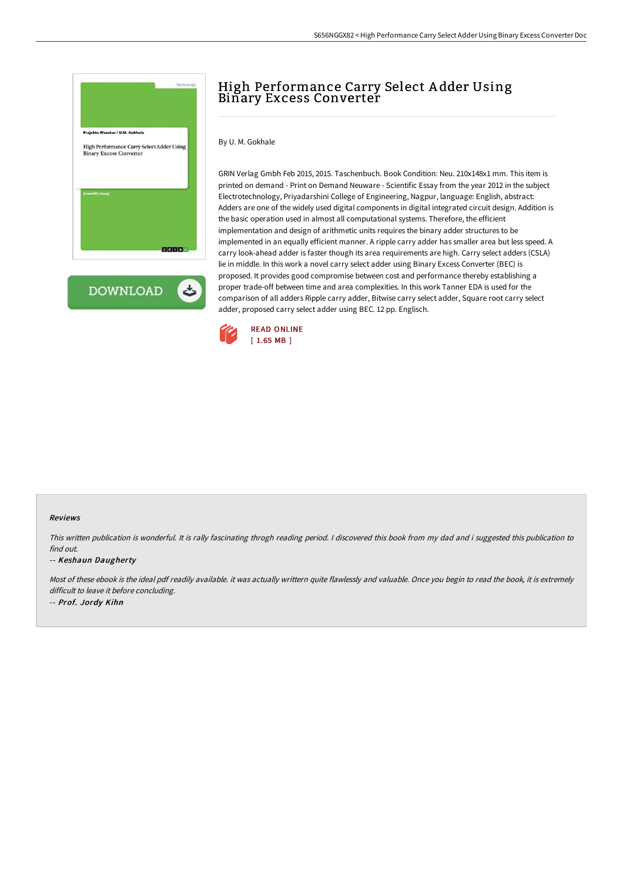

**DOWNLOAD** ٹ

# High Performance Carry Select A dder Using Binary Excess Converter

#### By U. M. Gokhale

GRIN Verlag Gmbh Feb 2015, 2015. Taschenbuch. Book Condition: Neu. 210x148x1 mm. This item is printed on demand - Print on Demand Neuware - Scientific Essay from the year 2012 in the subject Electrotechnology, Priyadarshini College of Engineering, Nagpur, language: English, abstract: Adders are one of the widely used digital components in digital integrated circuit design. Addition is the basic operation used in almost all computational systems. Therefore, the efficient implementation and design of arithmetic units requires the binary adder structures to be implemented in an equally efficient manner. A ripple carry adder has smaller area but less speed. A carry look-ahead adder is faster though its area requirements are high. Carry select adders (CSLA) lie in middle. In this work a novel carry select adder using Binary Excess Converter (BEC) is proposed. It provides good compromise between cost and performance thereby establishing a proper trade-off between time and area complexities. In this work Tanner EDA is used for the comparison of all adders Ripple carry adder, Bitwise carry select adder, Square root carry select adder, proposed carry select adder using BEC. 12 pp. Englisch.



#### Reviews

This written publication is wonderful. It is rally fascinating throgh reading period. <sup>I</sup> discovered this book from my dad and i suggested this publication to find out.

#### -- Keshaun Daugherty

Most of these ebook is the ideal pdf readily available. it was actually writtern quite flawlessly and valuable. Once you begin to read the book, it is extremely difficult to leave it before concluding. -- Prof. Jordy Kihn